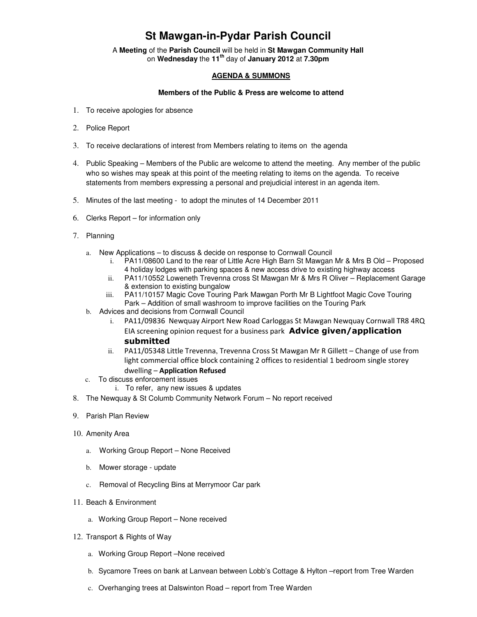## **St Mawgan-in-Pydar Parish Council**

A **Meeting** of the **Parish Council** will be held in **St Mawgan Community Hall** on **Wednesday** the **11th** day of **January 2012** at **7.30pm** 

## **AGENDA & SUMMONS**

## **Members of the Public & Press are welcome to attend**

- 1. To receive apologies for absence
- 2. Police Report
- 3. To receive declarations of interest from Members relating to items on the agenda
- 4. Public Speaking Members of the Public are welcome to attend the meeting. Any member of the public who so wishes may speak at this point of the meeting relating to items on the agenda. To receive statements from members expressing a personal and prejudicial interest in an agenda item.
- 5. Minutes of the last meeting to adopt the minutes of 14 December 2011
- 6. Clerks Report for information only
- 7. Planning
	- a. New Applications to discuss & decide on response to Cornwall Council
		- i. PA11/08600 Land to the rear of Little Acre High Barn St Mawgan Mr & Mrs B Old Proposed 4 holiday lodges with parking spaces & new access drive to existing highway access
		- ii. PA11/10552 Loweneth Trevenna cross St Mawgan Mr & Mrs R Oliver Replacement Garage & extension to existing bungalow
		- iii. PA11/10157 Magic Cove Touring Park Mawgan Porth Mr B Lightfoot Magic Cove Touring Park – Addition of small washroom to improve facilities on the Touring Park
	- b. Advices and decisions from Cornwall Council
		- i. PA11/09836 Newquay Airport New Road Carloggas St Mawgan Newquay Cornwall TR8 4RQ EIA screening opinion request for a business park **Advice given/application** submitted
		- ii. PA11/05348 Little Trevenna, Trevenna Cross St Mawgan Mr R Gillett Change of use from light commercial office block containing 2 offices to residential 1 bedroom single storey dwelling – Application Refused
	- c. To discuss enforcement issues
		- i. To refer, any new issues & updates
- 8. The Newquay & St Columb Community Network Forum No report received
- 9. Parish Plan Review
- 10. Amenity Area
	- a. Working Group Report None Received
	- b. Mower storage update
	- c. Removal of Recycling Bins at Merrymoor Car park
- 11. Beach & Environment
	- a. Working Group Report None received
- 12. Transport & Rights of Way
	- a. Working Group Report –None received
	- b. Sycamore Trees on bank at Lanvean between Lobb's Cottage & Hylton –report from Tree Warden
	- c. Overhanging trees at Dalswinton Road report from Tree Warden